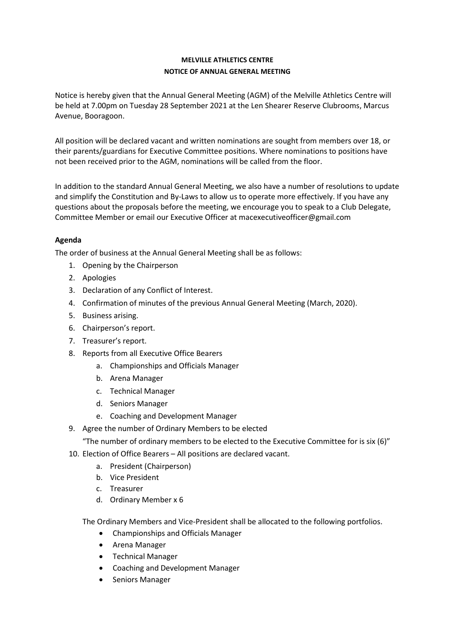## MELVILLE ATHLETICS CENTRE NOTICE OF ANNUAL GENERAL MEETING

Notice is hereby given that the Annual General Meeting (AGM) of the Melville Athletics Centre will be held at 7.00pm on Tuesday 28 September 2021 at the Len Shearer Reserve Clubrooms, Marcus Avenue, Booragoon.

All position will be declared vacant and written nominations are sought from members over 18, or their parents/guardians for Executive Committee positions. Where nominations to positions have not been received prior to the AGM, nominations will be called from the floor.

In addition to the standard Annual General Meeting, we also have a number of resolutions to update and simplify the Constitution and By-Laws to allow us to operate more effectively. If you have any questions about the proposals before the meeting, we encourage you to speak to a Club Delegate, Committee Member or email our Executive Officer at macexecutiveofficer@gmail.com

## Agenda

The order of business at the Annual General Meeting shall be as follows:

- 1. Opening by the Chairperson
- 2. Apologies
- 3. Declaration of any Conflict of Interest.
- 4. Confirmation of minutes of the previous Annual General Meeting (March, 2020).
- 5. Business arising.
- 6. Chairperson's report.
- 7. Treasurer's report.
- 8. Reports from all Executive Office Bearers
	- a. Championships and Officials Manager
	- b. Arena Manager
	- c. Technical Manager
	- d. Seniors Manager
	- e. Coaching and Development Manager
- 9. Agree the number of Ordinary Members to be elected

"The number of ordinary members to be elected to the Executive Committee for is six (6)"

- 10. Election of Office Bearers All positions are declared vacant.
	- a. President (Chairperson)
		- b. Vice President
		- c. Treasurer
		- d. Ordinary Member x 6

The Ordinary Members and Vice-President shall be allocated to the following portfolios.

- Championships and Officials Manager
- Arena Manager
- **•** Technical Manager
- Coaching and Development Manager
- Seniors Manager